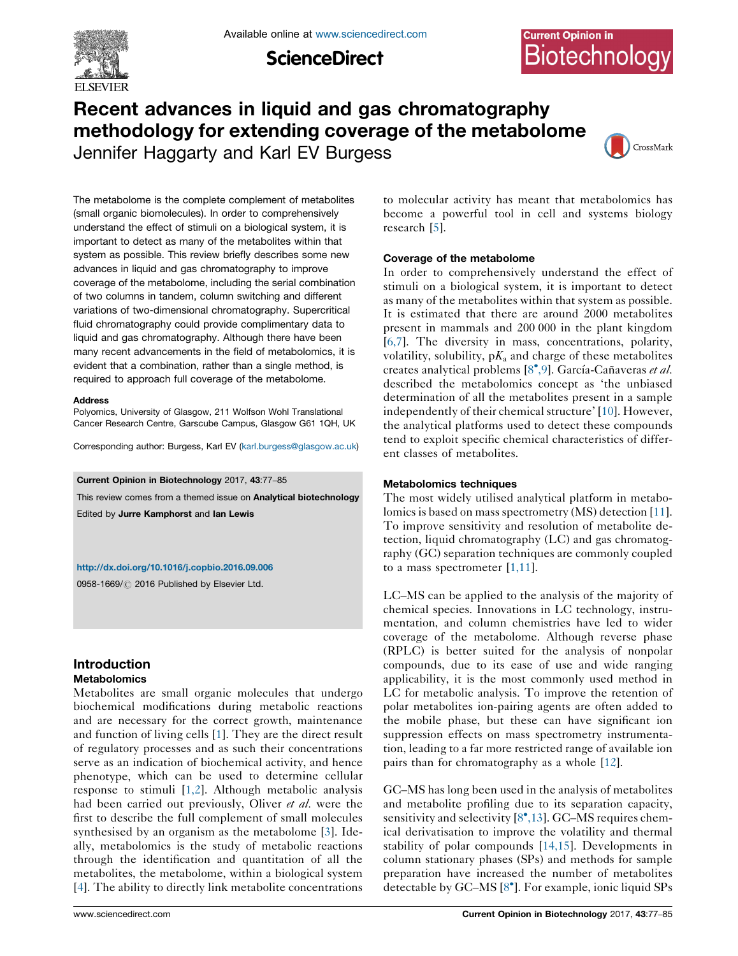

**ScienceDirect** 

# **Current Opinion in** Biotechnology

# Recent advances in liquid and gas chromatography methodology for extending coverage of the metabolome Jennifer Haggarty and Karl EV Burgess



The metabolome is the complete complement of metabolites (small organic biomolecules). In order to comprehensively understand the effect of stimuli on a biological system, it is important to detect as many of the metabolites within that system as possible. This review briefly describes some new advances in liquid and gas chromatography to improve coverage of the metabolome, including the serial combination of two columns in tandem, column switching and different variations of two-dimensional chromatography. Supercritical fluid chromatography could provide complimentary data to liquid and gas chromatography. Although there have been many recent advancements in the field of metabolomics, it is evident that a combination, rather than a single method, is required to approach full coverage of the metabolome.

#### Address

Polyomics, University of Glasgow, 211 Wolfson Wohl Translational Cancer Research Centre, Garscube Campus, Glasgow G61 1QH, UK

Corresponding author: Burgess, Karl EV ([karl.burgess@glasgow.ac.uk](mailto:karl.burgess@glasgow.ac.uk))

Current Opinion in Biotechnology 2017, 43:77–85

This review comes from a themed issue on **Analytical biotechnology** 

Edited by Jurre Kamphorst and Ian Lewis

<http://dx.doi.org/10.1016/j.copbio.2016.09.006>

0958-1669/ 2016 Published by Elsevier Ltd.

# Introduction **Metabolomics**

Metabolites are small organic molecules that undergo biochemical modifications during metabolic reactions and are necessary for the correct growth, maintenance and function of living cells [\[1](#page-6-0)]. They are the direct result of regulatory processes and as such their concentrations serve as an indication of biochemical activity, and hence phenotype, which can be used to determine cellular response to stimuli [\[1,2\]](#page-6-0). Although metabolic analysis had been carried out previously, Oliver et al. were the first to describe the full complement of small molecules synthesised by an organism as the metabolome [\[3\]](#page-6-0). Ideally, metabolomics is the study of metabolic reactions through the identification and quantitation of all the metabolites, the metabolome, within a biological system [\[4](#page-6-0)]. The ability to directly link metabolite concentrations to molecular activity has meant that metabolomics has become a powerful tool in cell and systems biology research [[5\]](#page-6-0).

# Coverage of the metabolome

In order to comprehensively understand the effect of stimuli on a biological system, it is important to detect as many of the metabolites within that system as possible. It is estimated that there are around 2000 metabolites present in mammals and 200 000 in the plant kingdom [[6,7\]](#page-6-0). The diversity in mass, concentrations, polarity, volatility, solubility,  $pK_a$  and charge of these metabolites creates analytical problems [\[8](#page-6-0)°[,9](#page-6-0)]. García-Cañaveras et al. described the metabolomics concept as 'the unbiased determination of all the metabolites present in a sample independently of their chemical structure' [\[10](#page-6-0)]. However, the analytical platforms used to detect these compounds tend to exploit specific chemical characteristics of different classes of metabolites.

## Metabolomics techniques

The most widely utilised analytical platform in metabo-lomics is based on mass spectrometry (MS) detection [[11\]](#page-6-0). To improve sensitivity and resolution of metabolite detection, liquid chromatography (LC) and gas chromatography (GC) separation techniques are commonly coupled to a mass spectrometer  $[1,11]$ .

LC–MS can be applied to the analysis of the majority of chemical species. Innovations in LC technology, instrumentation, and column chemistries have led to wider coverage of the metabolome. Although reverse phase (RPLC) is better suited for the analysis of nonpolar compounds, due to its ease of use and wide ranging applicability, it is the most commonly used method in LC for metabolic analysis. To improve the retention of polar metabolites ion-pairing agents are often added to the mobile phase, but these can have significant ion suppression effects on mass spectrometry instrumentation, leading to a far more restricted range of available ion pairs than for chromatography as a whole [[12\]](#page-6-0).

GC–MS has long been used in the analysis of metabolites and metabolite profiling due to its separation capacity, sensitivity and selectivity [[8](#page-6-0)\*[,13\]](#page-6-0). GC-MS requires chemical derivatisation to improve the volatility and thermal stability of polar compounds [[14,15](#page-6-0)]. Developments in column stationary phases (SPs) and methods for sample preparation have increased the number of metabolites detectable by GC-MS [\[8](#page-6-0)<sup>°</sup>]. For example, ionic liquid SPs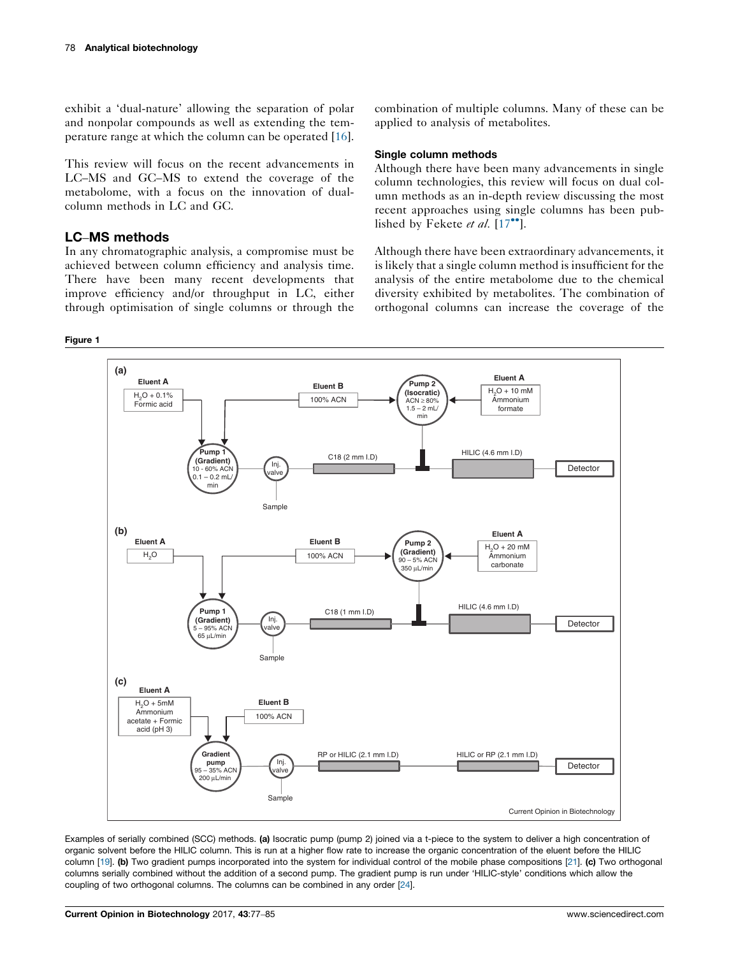<span id="page-1-0"></span>exhibit a 'dual-nature' allowing the separation of polar and nonpolar compounds as well as extending the temperature range at which the column can be operated [\[16](#page-6-0)].

This review will focus on the recent advancements in LC–MS and GC–MS to extend the coverage of the metabolome, with a focus on the innovation of dualcolumn methods in LC and GC.

# LC–MS methods

In any chromatographic analysis, a compromise must be achieved between column efficiency and analysis time. There have been many recent developments that improve efficiency and/or throughput in LC, either through optimisation of single columns or through the

#### Figure 1

combination of multiple columns. Many of these can be applied to analysis of metabolites.

### Single column methods

Although there have been many advancements in single column technologies, this review will focus on dual column methods as an in-depth review discussing the most recent approaches using single columns has been published by Fekete et al.  $[17$  $[17$ <sup>\*\*</sup>].

Although there have been extraordinary advancements, it is likely that a single column method is insufficient for the analysis of the entire metabolome due to the chemical diversity exhibited by metabolites. The combination of orthogonal columns can increase the coverage of the



Examples of serially combined (SCC) methods. (a) Isocratic pump (pump 2) joined via a t-piece to the system to deliver a high concentration of organic solvent before the HILIC column. This is run at a higher flow rate to increase the organic concentration of the eluent before the HILIC column [[19](#page-6-0)]. (b) Two gradient pumps incorporated into the system for individual control of the mobile phase compositions [\[21\]](#page-6-0). (c) Two orthogonal columns serially combined without the addition of a second pump. The gradient pump is run under 'HILIC-style' conditions which allow the coupling of two orthogonal columns. The columns can be combined in any order [\[24\]](#page-7-0).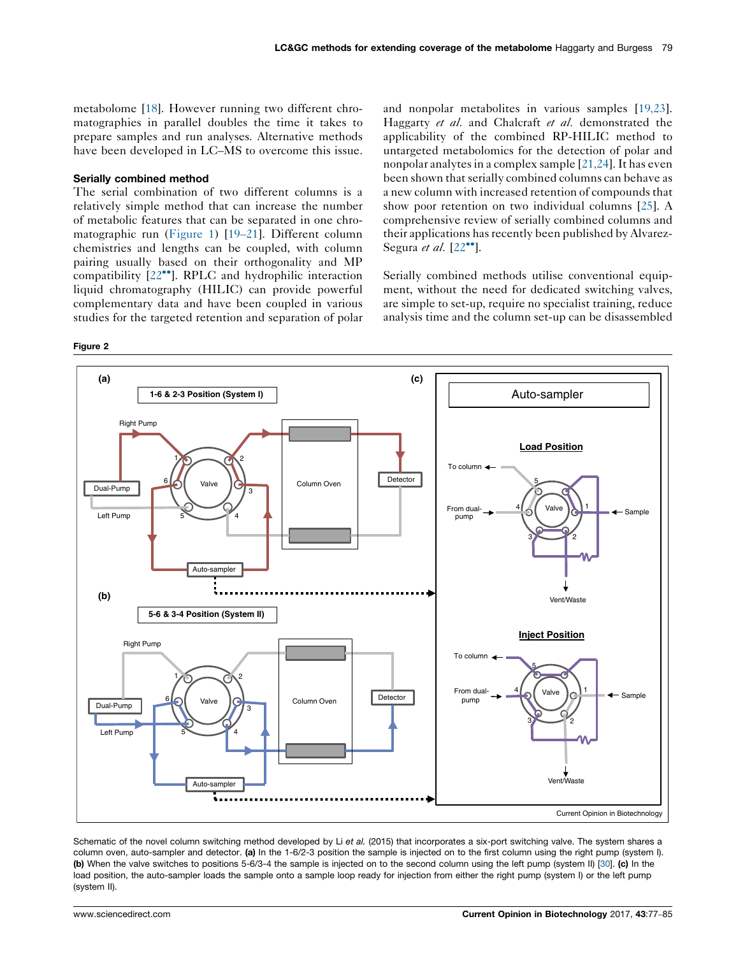<span id="page-2-0"></span>metabolome [[18\]](#page-6-0). However running two different chromatographies in parallel doubles the time it takes to prepare samples and run analyses. Alternative methods have been developed in LC–MS to overcome this issue.

#### Serially combined method

The serial combination of two different columns is a relatively simple method that can increase the number of metabolic features that can be separated in one chromatographic run [\(Figure](#page-1-0) 1) [\[19](#page-6-0)–21]. Different column chemistries and lengths can be coupled, with column pairing usually based on their orthogonality and MP compatibility [[22](#page-6-0)<sup>••</sup>]. RPLC and hydrophilic interaction liquid chromatography (HILIC) can provide powerful complementary data and have been coupled in various studies for the targeted retention and separation of polar

Figure 2

and nonpolar metabolites in various samples [\[19,23\]](#page-6-0). Haggarty et al. and Chalcraft et al. demonstrated the applicability of the combined RP-HILIC method to untargeted metabolomics for the detection of polar and nonpolar analytes in a complex sample  $[21,24]$ . It has even been shown that serially combined columns can behave as a new column with increased retention of compounds that show poor retention on two individual columns [\[25](#page-7-0)]. A comprehensive review of serially combined columns and their applications has recently been published by Alvarez-Segura et al.  $[22$  $[22$ <sup>\*</sup>].

Serially combined methods utilise conventional equipment, without the need for dedicated switching valves, are simple to set-up, require no specialist training, reduce analysis time and the column set-up can be disassembled



Schematic of the novel column switching method developed by Li et al. (2015) that incorporates a six-port switching valve. The system shares a column oven, auto-sampler and detector. (a) In the 1-6/2-3 position the sample is injected on to the first column using the right pump (system I). (b) When the valve switches to positions 5-6/3-4 the sample is injected on to the second column using the left pump (system II) [\[30\]](#page-7-0). (c) In the load position, the auto-sampler loads the sample onto a sample loop ready for injection from either the right pump (system I) or the left pump (system II).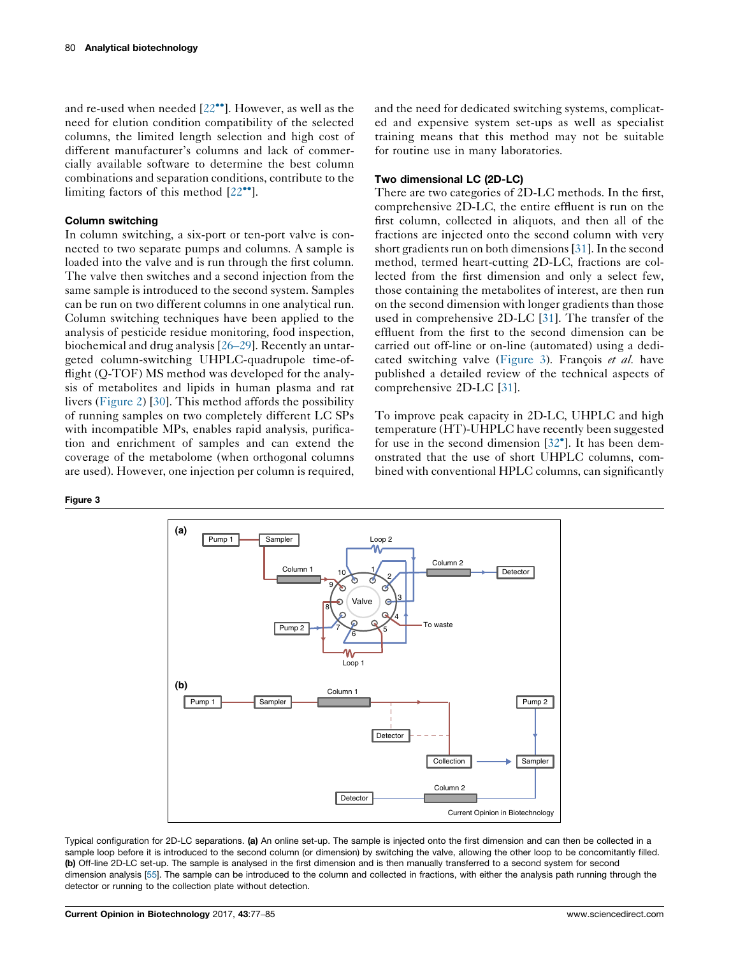and re-used when needed [[22](#page-6-0)<sup>••</sup>]. However, as well as the need for elution condition compatibility of the selected columns, the limited length selection and high cost of different manufacturer's columns and lack of commercially available software to determine the best column combinations and separation conditions, contribute to the limiting factors of this method  $[22^{\bullet\bullet}]$  $[22^{\bullet\bullet}]$ .

#### Column switching

In column switching, a six-port or ten-port valve is connected to two separate pumps and columns. A sample is loaded into the valve and is run through the first column. The valve then switches and a second injection from the same sample is introduced to the second system. Samples can be run on two different columns in one analytical run. Column switching techniques have been applied to the analysis of pesticide residue monitoring, food inspection, biochemical and drug analysis [26–[29\]](#page-7-0). Recently an untargeted column-switching UHPLC-quadrupole time-offlight (Q-TOF) MS method was developed for the analysis of metabolites and lipids in human plasma and rat livers [\(Figure](#page-2-0) 2) [\[30](#page-7-0)]. This method affords the possibility of running samples on two completely different LC SPs with incompatible MPs, enables rapid analysis, purification and enrichment of samples and can extend the coverage of the metabolome (when orthogonal columns are used). However, one injection per column is required,

Figure 3



Typical configuration for 2D-LC separations. (a) An online set-up. The sample is injected onto the first dimension and can then be collected in a sample loop before it is introduced to the second column (or dimension) by switching the valve, allowing the other loop to be concomitantly filled. (b) Off-line 2D-LC set-up. The sample is analysed in the first dimension and is then manually transferred to a second system for second dimension analysis [[55](#page-8-0)]. The sample can be introduced to the column and collected in fractions, with either the analysis path running through the detector or running to the collection plate without detection.

and the need for dedicated switching systems, complicated and expensive system set-ups as well as specialist training means that this method may not be suitable for routine use in many laboratories.

#### Two dimensional LC (2D-LC)

There are two categories of 2D-LC methods. In the first, comprehensive 2D-LC, the entire effluent is run on the first column, collected in aliquots, and then all of the fractions are injected onto the second column with very short gradients run on both dimensions [[31\]](#page-7-0). In the second method, termed heart-cutting 2D-LC, fractions are collected from the first dimension and only a select few, those containing the metabolites of interest, are then run on the second dimension with longer gradients than those used in comprehensive 2D-LC [\[31](#page-7-0)]. The transfer of the effluent from the first to the second dimension can be carried out off-line or on-line (automated) using a dedicated switching valve (Figure 3). Francois *et al.* have published a detailed review of the technical aspects of comprehensive 2D-LC [\[31](#page-7-0)].

To improve peak capacity in 2D-LC, UHPLC and high temperature (HT)-UHPLC have recently been suggested for use in the second dimension  $[32^{\circ}]$  $[32^{\circ}]$ . It has been demonstrated that the use of short UHPLC columns, combined with conventional HPLC columns, can significantly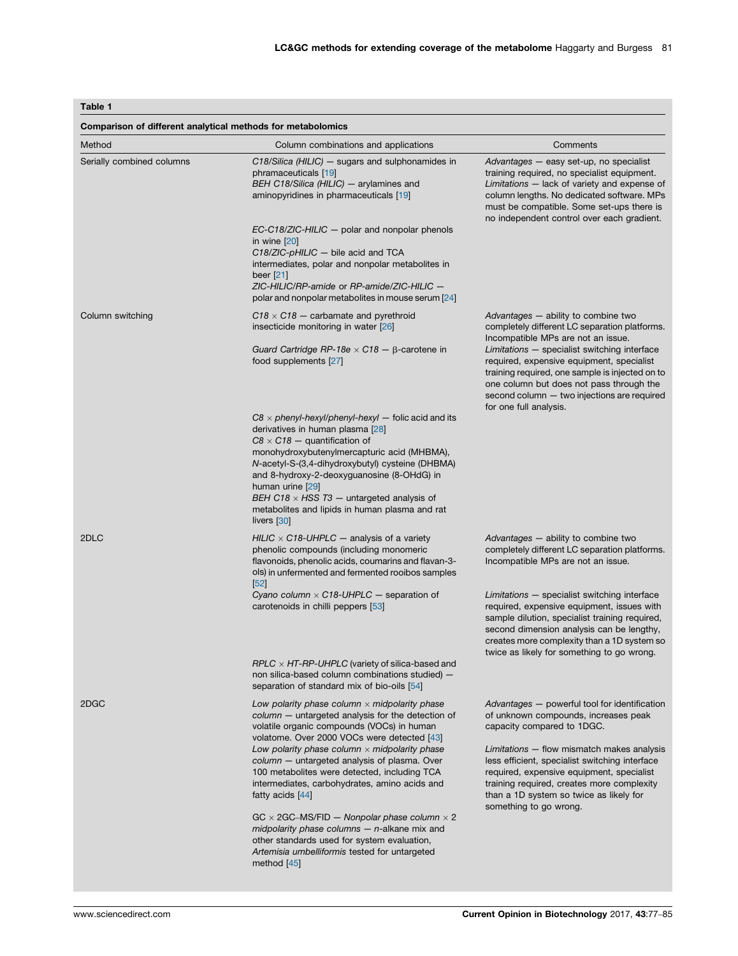# <span id="page-4-0"></span>Table 1

| Comparison of different analytical methods for metabolomics |                                                                                                                                                                                                                                                                                                                                                                                                                                     |                                                                                                                                                                                                                                                                                                                                                                                                 |
|-------------------------------------------------------------|-------------------------------------------------------------------------------------------------------------------------------------------------------------------------------------------------------------------------------------------------------------------------------------------------------------------------------------------------------------------------------------------------------------------------------------|-------------------------------------------------------------------------------------------------------------------------------------------------------------------------------------------------------------------------------------------------------------------------------------------------------------------------------------------------------------------------------------------------|
| Method                                                      | Column combinations and applications                                                                                                                                                                                                                                                                                                                                                                                                | Comments                                                                                                                                                                                                                                                                                                                                                                                        |
| Serially combined columns                                   | $C18/Silica$ (HILIC) $-$ sugars and sulphonamides in<br>phramaceuticals [19]<br>BEH C18/Silica (HILIC) - arylamines and<br>aminopyridines in pharmaceuticals [19]                                                                                                                                                                                                                                                                   | Advantages - easy set-up, no specialist<br>training required, no specialist equipment.<br>Limitations - lack of variety and expense of<br>column lengths. No dedicated software. MPs<br>must be compatible. Some set-ups there is<br>no independent control over each gradient.                                                                                                                 |
|                                                             | $EC-C18/ZIC-HILIC - polar$ and nonpolar phenols<br>in wine $[20]$<br>$C18/ZIC$ -pHILIC $-$ bile acid and TCA<br>intermediates, polar and nonpolar metabolites in<br>beer $[21]$<br>ZIC-HILIC/RP-amide or RP-amide/ZIC-HILIC -<br>polar and nonpolar metabolites in mouse serum [24]                                                                                                                                                 |                                                                                                                                                                                                                                                                                                                                                                                                 |
| Column switching                                            | $C18 \times C18$ – carbamate and pyrethroid<br>insecticide monitoring in water [26]<br>Guard Cartridge RP-18e $\times$ C18 $ \beta$ -carotene in<br>food supplements [27]                                                                                                                                                                                                                                                           | Advantages - ability to combine two<br>completely different LC separation platforms.<br>Incompatible MPs are not an issue.<br>Limitations - specialist switching interface<br>required, expensive equipment, specialist<br>training required, one sample is injected on to<br>one column but does not pass through the<br>second column - two injections are required<br>for one full analysis. |
|                                                             | $C8 \times$ phenyl-hexyl/phenyl-hexyl $-$ folic acid and its<br>derivatives in human plasma [28]<br>$C8 \times C18$ – quantification of<br>monohydroxybutenylmercapturic acid (MHBMA),<br>N-acetyl-S-(3,4-dihydroxybutyl) cysteine (DHBMA)<br>and 8-hydroxy-2-deoxyguanosine (8-OHdG) in<br>human urine [29]<br>BEH C18 $\times$ HSS T3 - untargeted analysis of<br>metabolites and lipids in human plasma and rat<br>livers $[30]$ |                                                                                                                                                                                                                                                                                                                                                                                                 |
| 2DLC                                                        | HILIC $\times$ C18-UHPLC $-$ analysis of a variety<br>phenolic compounds (including monomeric<br>flavonoids, phenolic acids, coumarins and flavan-3-<br>ols) in unfermented and fermented rooibos samples<br>[52]                                                                                                                                                                                                                   | Advantages - ability to combine two<br>completely different LC separation platforms.<br>Incompatible MPs are not an issue.                                                                                                                                                                                                                                                                      |
|                                                             | Cyano column $\times$ C18-UHPLC $-$ separation of<br>carotenoids in chilli peppers [53]                                                                                                                                                                                                                                                                                                                                             | Limitations - specialist switching interface<br>required, expensive equipment, issues with<br>sample dilution, specialist training required,<br>second dimension analysis can be lengthy,<br>creates more complexity than a 1D system so<br>twice as likely for something to go wrong.                                                                                                          |
|                                                             | $RPLC \times HT-RP-UHPLC$ (variety of silica-based and<br>non silica-based column combinations studied) -<br>separation of standard mix of bio-oils [54]                                                                                                                                                                                                                                                                            |                                                                                                                                                                                                                                                                                                                                                                                                 |
| 2DGC                                                        | Low polarity phase column $\times$ midpolarity phase<br>column - untargeted analysis for the detection of<br>volatile organic compounds (VOCs) in human<br>volatome. Over 2000 VOCs were detected [43]<br>Low polarity phase column $\times$ midpolarity phase<br>column - untargeted analysis of plasma. Over<br>100 metabolites were detected, including TCA                                                                      | Advantages - powerful tool for identification<br>of unknown compounds, increases peak<br>capacity compared to 1DGC.<br>Limitations - flow mismatch makes analysis<br>less efficient, specialist switching interface<br>required, expensive equipment, specialist                                                                                                                                |
|                                                             | intermediates, carbohydrates, amino acids and<br>fatty acids [44]<br>$GC \times 2GC$ -MS/FID - Nonpolar phase column $\times 2$<br>midpolarity phase columns $-$ n-alkane mix and<br>other standards used for system evaluation,<br>Artemisia umbelliformis tested for untargeted<br>method $[45]$                                                                                                                                  | training required, creates more complexity<br>than a 1D system so twice as likely for<br>something to go wrong.                                                                                                                                                                                                                                                                                 |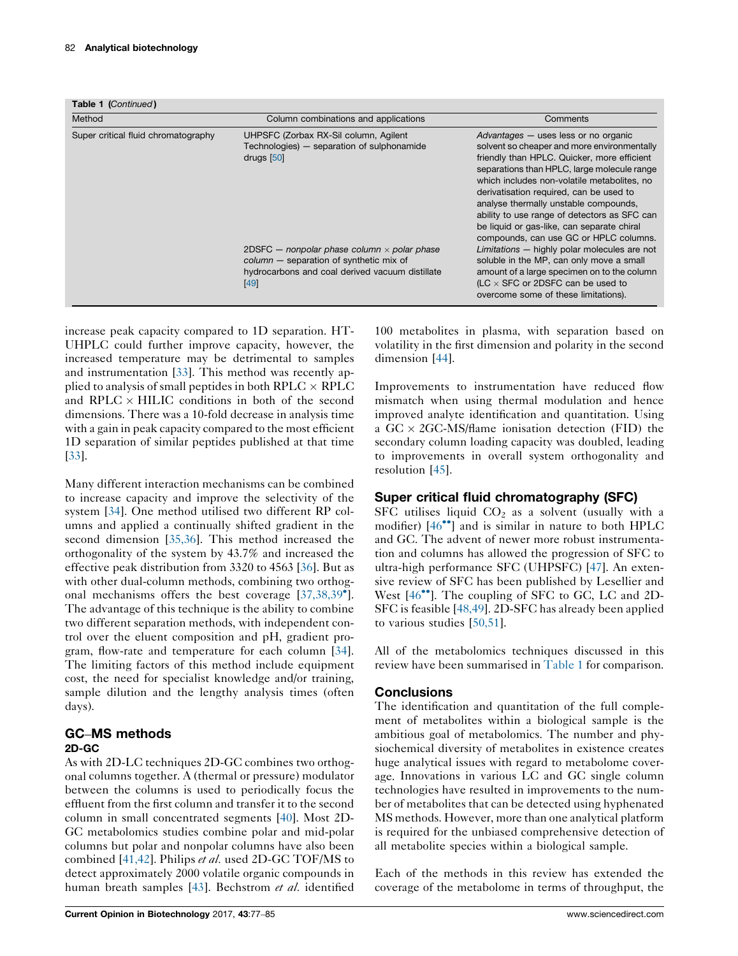Table 1 (Continued)

| Method                              | Column combinations and applications                                                                                                                         | Comments                                                                                                                                                                                                                                                                                                                                                                                                                                                     |
|-------------------------------------|--------------------------------------------------------------------------------------------------------------------------------------------------------------|--------------------------------------------------------------------------------------------------------------------------------------------------------------------------------------------------------------------------------------------------------------------------------------------------------------------------------------------------------------------------------------------------------------------------------------------------------------|
| Super critical fluid chromatography | UHPSFC (Zorbax RX-Sil column, Agilent<br>Technologies) – separation of sulphonamide<br>drugs $[50]$                                                          | Advantages – uses less or no organic<br>solvent so cheaper and more environmentally<br>friendly than HPLC. Quicker, more efficient<br>separations than HPLC, large molecule range<br>which includes non-volatile metabolites, no<br>derivatisation required, can be used to<br>analyse thermally unstable compounds,<br>ability to use range of detectors as SFC can<br>be liquid or gas-like, can separate chiral<br>compounds, can use GC or HPLC columns. |
|                                     | 2DSFC $-$ nonpolar phase column $\times$ polar phase<br>$column$ - separation of synthetic mix of<br>hydrocarbons and coal derived vacuum distillate<br>[49] | Limitations - highly polar molecules are not<br>soluble in the MP, can only move a small<br>amount of a large specimen on to the column<br>(LC $\times$ SFC or 2DSFC can be used to<br>overcome some of these limitations).                                                                                                                                                                                                                                  |

increase peak capacity compared to 1D separation. HT-UHPLC could further improve capacity, however, the increased temperature may be detrimental to samples and instrumentation [\[33](#page-7-0)]. This method was recently applied to analysis of small peptides in both RPLC  $\times$  RPLC and RPLC  $\times$  HILIC conditions in both of the second dimensions. There was a 10-fold decrease in analysis time with a gain in peak capacity compared to the most efficient 1D separation of similar peptides published at that time [\[33](#page-7-0)].

Many different interaction mechanisms can be combined to increase capacity and improve the selectivity of the system [[34\]](#page-7-0). One method utilised two different RP columns and applied a continually shifted gradient in the second dimension [\[35,36\]](#page-7-0). This method increased the orthogonality of the system by 43.7% and increased the effective peak distribution from 3320 to 4563 [[36\]](#page-7-0). But as with other dual-column methods, combining two orthog-onal mechanisms offers the best coverage [[37,38,39](#page-7-0)<sup>°</sup>]. The advantage of this technique is the ability to combine two different separation methods, with independent control over the eluent composition and pH, gradient program, flow-rate and temperature for each column [\[34](#page-7-0)]. The limiting factors of this method include equipment cost, the need for specialist knowledge and/or training, sample dilution and the lengthy analysis times (often days).

# GC–MS methods 2D-GC

As with 2D-LC techniques 2D-GC combines two orthogonal columns together. A (thermal or pressure) modulator between the columns is used to periodically focus the effluent from the first column and transfer it to the second column in small concentrated segments [[40\]](#page-7-0). Most 2D-GC metabolomics studies combine polar and mid-polar columns but polar and nonpolar columns have also been combined [[41,42](#page-7-0)]. Philips et al. used 2D-GC TOF/MS to detect approximately 2000 volatile organic compounds in human breath samples [\[43](#page-7-0)]. Bechstrom et al. identified

100 metabolites in plasma, with separation based on volatility in the first dimension and polarity in the second dimension [\[44](#page-7-0)].

Improvements to instrumentation have reduced flow mismatch when using thermal modulation and hence improved analyte identification and quantitation. Using a  $GC \times 2GC$ -MS/flame ionisation detection (FID) the secondary column loading capacity was doubled, leading to improvements in overall system orthogonality and resolution [[45\]](#page-7-0).

# Super critical fluid chromatography (SFC)

SFC utilises liquid  $CO<sub>2</sub>$  as a solvent (usually with a modifier)  $[46^{\bullet\bullet}]$  $[46^{\bullet\bullet}]$  and is similar in nature to both HPLC and GC. The advent of newer more robust instrumentation and columns has allowed the progression of SFC to ultra-high performance SFC (UHPSFC) [[47\]](#page-8-0). An extensive review of SFC has been published by Lesellier and West [[46](#page-7-0)<sup>••</sup>]. The coupling of SFC to GC, LC and 2D-SFC is feasible [[48,49\]](#page-8-0). 2D-SFC has already been applied to various studies [\[50,51\]](#page-8-0).

All of the metabolomics techniques discussed in this review have been summarised in [Table](#page-4-0) 1 for comparison.

# **Conclusions**

The identification and quantitation of the full complement of metabolites within a biological sample is the ambitious goal of metabolomics. The number and physiochemical diversity of metabolites in existence creates huge analytical issues with regard to metabolome coverage. Innovations in various LC and GC single column technologies have resulted in improvements to the number of metabolites that can be detected using hyphenated MS methods. However, more than one analytical platform is required for the unbiased comprehensive detection of all metabolite species within a biological sample.

Each of the methods in this review has extended the coverage of the metabolome in terms of throughput, the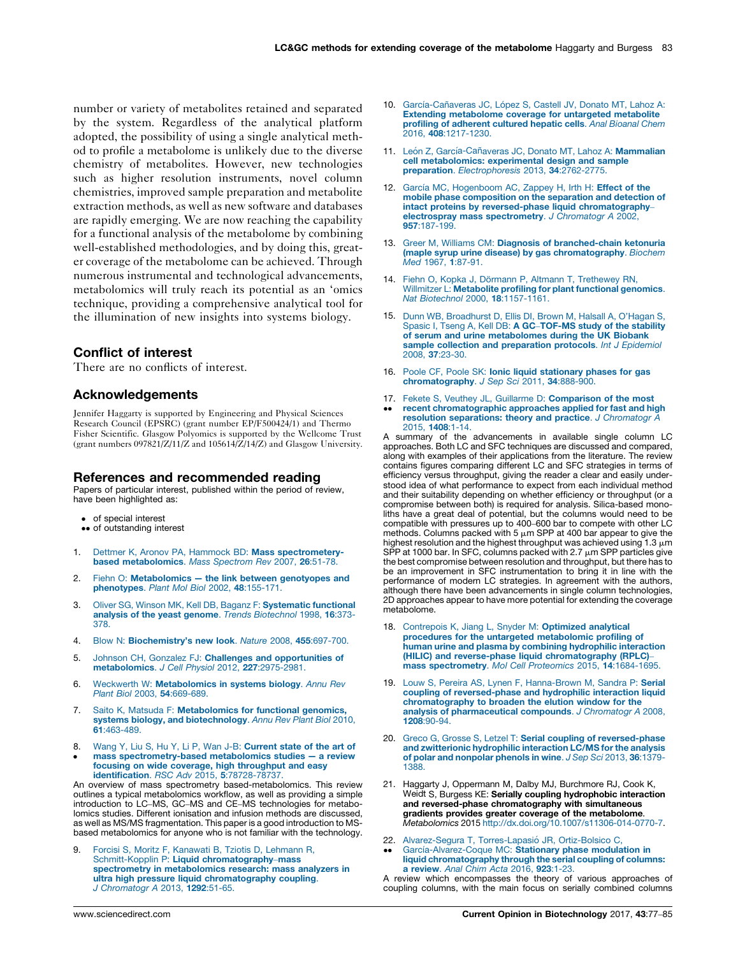<span id="page-6-0"></span>number or variety of metabolites retained and separated by the system. Regardless of the analytical platform adopted, the possibility of using a single analytical method to profile a metabolome is unlikely due to the diverse chemistry of metabolites. However, new technologies such as higher resolution instruments, novel column chemistries, improved sample preparation and metabolite extraction methods, as well as new software and databases are rapidly emerging. We are now reaching the capability for a functional analysis of the metabolome by combining well-established methodologies, and by doing this, greater coverage of the metabolome can be achieved. Through numerous instrumental and technological advancements, metabolomics will truly reach its potential as an 'omics technique, providing a comprehensive analytical tool for the illumination of new insights into systems biology.

### Conflict of interest

There are no conflicts of interest.

#### Acknowledgements

Jennifer Haggarty is supported by Engineering and Physical Sciences Research Council (EPSRC) (grant number EP/F500424/1) and Thermo Fisher Scientific. Glasgow Polyomics is supported by the Wellcome Trust (grant numbers 097821/Z/11/Z and 105614/Z/14/Z) and Glasgow University.

#### References and recommended reading

Papers of particular interest, published within the period of review, have been highlighted as:

- of special interest
- •• of outstanding interest
- 1. Dettmer K, Aronov PA, Hammock BD: Mass [spectrometery](http://refhub.elsevier.com/S0958-1669(16)30192-6/sbref0280)based [metabolomics](http://refhub.elsevier.com/S0958-1669(16)30192-6/sbref0280). Mass Spectrom Rev 2007, 26:51-78.
- 2. Fiehn O: [Metabolomics](http://refhub.elsevier.com/S0958-1669(16)30192-6/sbref0285) the link between genotyopes and [phenotypes](http://refhub.elsevier.com/S0958-1669(16)30192-6/sbref0285). Plant Mol Biol 2002, 48:155-171.
- 3. Oliver SG, Winson MK, Kell DB, Baganz F: [Systematic](http://refhub.elsevier.com/S0958-1669(16)30192-6/sbref0290) functional analysis of the yeast genome. Trends [Biotechnol](http://refhub.elsevier.com/S0958-1669(16)30192-6/sbref0290) 1998, 16:373- [378.](http://refhub.elsevier.com/S0958-1669(16)30192-6/sbref0290)
- 4. Blow N: [Biochemistry's](http://refhub.elsevier.com/S0958-1669(16)30192-6/sbref0295) new look. Nature 2008, 455:697-700.
- 5. Johnson CH, Gonzalez FJ: Challenges and [opportunities](http://refhub.elsevier.com/S0958-1669(16)30192-6/sbref0300) of [metabolomics](http://refhub.elsevier.com/S0958-1669(16)30192-6/sbref0300). J Cell Physiol 2012, 227:2975-2981.
- 6. Weckwerth W: [Metabolomics](http://refhub.elsevier.com/S0958-1669(16)30192-6/sbref0305) in systems biology. Annu Rev Plant Biol 2003, 54[:669-689.](http://refhub.elsevier.com/S0958-1669(16)30192-6/sbref0305)
- 7. Saito K, Matsuda F: [Metabolomics](http://refhub.elsevier.com/S0958-1669(16)30192-6/sbref0310) for functional genomics, systems biology, and [biotechnology](http://refhub.elsevier.com/S0958-1669(16)30192-6/sbref0310). Annu Rev Plant Biol 2010, 61[:463-489.](http://refhub.elsevier.com/S0958-1669(16)30192-6/sbref0310)
- 8.  $\bullet$ Wang Y, Liu S, Hu Y, Li P, Wan J-B: [Current](http://refhub.elsevier.com/S0958-1669(16)30192-6/sbref0315) state of the art of mass [spectrometry-based](http://refhub.elsevier.com/S0958-1669(16)30192-6/sbref0315) metabolomics studies — a review focusing on wide coverage, high [throughput](http://refhub.elsevier.com/S0958-1669(16)30192-6/sbref0315) and easy identification. RSC Adv 2015, 5[:78728-78737.](http://refhub.elsevier.com/S0958-1669(16)30192-6/sbref0315)

An overview of mass spectrometry based-metabolomics. This review outlines a typical metabolomics workflow, as well as providing a simple introduction to LC–MS, GC–MS and CE–MS technologies for metabolomics studies. Different ionisation and infusion methods are discussed, as well as MS/MS fragmentation. This paper is a good introduction to MSbased metabolomics for anyone who is not familiar with the technology.

9. Forcisi S, Moritz F, Kanawati B, Tziotis D, [Lehmann](http://refhub.elsevier.com/S0958-1669(16)30192-6/sbref0320) R,<br>Schmitt-Kopplin P: Liquid [chromatography](http://refhub.elsevier.com/S0958-1669(16)30192-6/sbref0320)–mass spectrometry in [metabolomics](http://refhub.elsevier.com/S0958-1669(16)30192-6/sbref0320) research: mass analyzers in ultra high pressure liquid [chromatography](http://refhub.elsevier.com/S0958-1669(16)30192-6/sbref0320) coupling. J [Chromatogr](http://refhub.elsevier.com/S0958-1669(16)30192-6/sbref0320) A 2013, 1292:51-65.

- 10. García-Cañaveras JC, López S, Castell JV, Donato MT, Lahoz A: Extending [metabolome](http://refhub.elsevier.com/S0958-1669(16)30192-6/sbref0325) coverage for untargeted metabolite profiling of [adherent](http://refhub.elsevier.com/S0958-1669(16)30192-6/sbref0325) cultured hepatic cells. Anal Bioanal Chem 2016, 408[:1217-1230.](http://refhub.elsevier.com/S0958-1669(16)30192-6/sbref0325)
- 11. León Z, García-Cañaveras JC, Donato MT, Lahoz A: [Mammalian](http://refhub.elsevier.com/S0958-1669(16)30192-6/sbref0330) cell [metabolomics:](http://refhub.elsevier.com/S0958-1669(16)30192-6/sbref0330) experimental design and sample preparation. [Electrophoresis](http://refhub.elsevier.com/S0958-1669(16)30192-6/sbref0330) 2013, 34:2762-2775.
- 12. García MC, [Hogenboom](http://refhub.elsevier.com/S0958-1669(16)30192-6/sbref0335) AC, Zappey H, Irth H: Effect of the mobile phase [composition](http://refhub.elsevier.com/S0958-1669(16)30192-6/sbref0335) on the separation and detection of intact proteins by reversed-phase liquid [chromatography](http://refhub.elsevier.com/S0958-1669(16)30192-6/sbref0335)– electrospray mass [spectrometry](http://refhub.elsevier.com/S0958-1669(16)30192-6/sbref0335). J Chromatogr A 2002, 957[:187-199.](http://refhub.elsevier.com/S0958-1669(16)30192-6/sbref0335)
- 13. Greer M, Williams CM: Diagnosis of [branched-chain](http://refhub.elsevier.com/S0958-1669(16)30192-6/sbref0340) ketonuria (maple syrup urine disease) by gas [chromatography](http://refhub.elsevier.com/S0958-1669(16)30192-6/sbref0340). Biochem Med 1967, 1[:87-91.](http://refhub.elsevier.com/S0958-1669(16)30192-6/sbref0340)
- 14. Fiehn O, Kopka J, Dörmann P, Altmann T, [Trethewey](http://refhub.elsevier.com/S0958-1669(16)30192-6/sbref0345) RN, Willmitzer L: [Metabolite](http://refhub.elsevier.com/S0958-1669(16)30192-6/sbref0345) profiling for plant functional genomics. Nat Biotechnol 2000, 18[:1157-1161.](http://refhub.elsevier.com/S0958-1669(16)30192-6/sbref0345)
- 15. Dunn WB, [Broadhurst](http://refhub.elsevier.com/S0958-1669(16)30192-6/sbref0350) D, Ellis DI, Brown M, Halsall A, O'Hagan S,<br>Spasic I, Tseng A, Kell DB: **A GC-[TOF-MS](http://refhub.elsevier.com/S0958-1669(16)30192-6/sbref0350) study of the stability** of serum and urine [metabolomes](http://refhub.elsevier.com/S0958-1669(16)30192-6/sbref0350) during the UK Biobank sample collection and [preparation](http://refhub.elsevier.com/S0958-1669(16)30192-6/sbref0350) protocols. Int J Epidemiol 2008, 37[:23-30.](http://refhub.elsevier.com/S0958-1669(16)30192-6/sbref0350)
- 16. Poole CF, Poole SK: Ionic liquid [stationary](http://refhub.elsevier.com/S0958-1669(16)30192-6/sbref0355) phases for gas [chromatography](http://refhub.elsevier.com/S0958-1669(16)30192-6/sbref0355). J Sep Sci 2011, 34:888-900.
- 17. Fekete S, Veuthey JL, Guillarme D: [Comparison](http://refhub.elsevier.com/S0958-1669(16)30192-6/sbref0360) of the most
- -recent [chromatographic](http://refhub.elsevier.com/S0958-1669(16)30192-6/sbref0360) approaches applied for fast and high resolution [separations:](http://refhub.elsevier.com/S0958-1669(16)30192-6/sbref0360) theory and practice. J Chromatogr A 2015, 1408[:1-14.](http://refhub.elsevier.com/S0958-1669(16)30192-6/sbref0360)

A summary of the advancements in available single column LC approaches. Both LC and SFC techniques are discussed and compared, along with examples of their applications from the literature. The review contains figures comparing different LC and SFC strategies in terms of efficiency versus throughput, giving the reader a clear and easily understood idea of what performance to expect from each individual method and their suitability depending on whether efficiency or throughput (or a compromise between both) is required for analysis. Silica-based monoliths have a great deal of potential, but the columns would need to be compatible with pressures up to 400–600 bar to compete with other LC methods. Columns packed with 5  $\mu$ m SPP at 400 bar appear to give the highest resolution and the highest throughput was achieved using 1.3  $\mu$ m  $S\bar{P}P$  at 1000 bar. In SFC, columns packed with 2.7  $\mu$ m SPP particles give the best compromise between resolution and throughput, but there has to be an improvement in SFC instrumentation to bring it in line with the performance of modern LC strategies. In agreement with the authors, although there have been advancements in single column technologies, 2D approaches appear to have more potential for extending the coverage metabolome.

- 18. Contrepois K, Jiang L, Snyder M: [Optimized](http://refhub.elsevier.com/S0958-1669(16)30192-6/sbref0365) analytical procedures for the untargeted [metabolomic](http://refhub.elsevier.com/S0958-1669(16)30192-6/sbref0365) profiling of human urine and plasma by combining [hydrophilic](http://refhub.elsevier.com/S0958-1669(16)30192-6/sbref0365) interaction (HILIC) and reverse-phase liquid [chromatography](http://refhub.elsevier.com/S0958-1669(16)30192-6/sbref0365) (RPLC)– mass [spectrometry](http://refhub.elsevier.com/S0958-1669(16)30192-6/sbref0365). Mol Cell Proteomics 2015, 14:1684-1695.
- 19. Louw S, Pereira AS, Lynen F, [Hanna-Brown](http://refhub.elsevier.com/S0958-1669(16)30192-6/sbref0370) M, Sandra P: Serial coupling of [reversed-phase](http://refhub.elsevier.com/S0958-1669(16)30192-6/sbref0370) and hydrophilic interaction liquid [chromatography](http://refhub.elsevier.com/S0958-1669(16)30192-6/sbref0370) to broaden the elution window for the analysis of [pharmaceutical](http://refhub.elsevier.com/S0958-1669(16)30192-6/sbref0370) compounds. J Chromatogr A 2008, 1208[:90-94.](http://refhub.elsevier.com/S0958-1669(16)30192-6/sbref0370)
- 20. Greco G, Grosse S, Letzel T: Serial coupling of [reversed-phase](http://refhub.elsevier.com/S0958-1669(16)30192-6/sbref0375) and [zwitterionic](http://refhub.elsevier.com/S0958-1669(16)30192-6/sbref0375) hydrophilic interaction LC/MS forthe analysis of polar and [nonpolar](http://refhub.elsevier.com/S0958-1669(16)30192-6/sbref0375) phenols in wine. J Sep Sci 2013, 36:1379- [1388.](http://refhub.elsevier.com/S0958-1669(16)30192-6/sbref0375)
- 21. Haggarty J, Oppermann M, Dalby MJ, Burchmore RJ, Cook K,<br>Weidt S, Burgess KE: Serially coupling hydrophobic interaction and reversed-phase chromatography with simultaneous gradients provides greater coverage of the metabolome. Metabolomics 2015 <http://dx.doi.org/10.1007/s11306-014-0770-7>.
- 22. [Alvarez-Segura](http://refhub.elsevier.com/S0958-1669(16)30192-6/sbref0385) T, Torres-Lapasió JR, Ortiz-Bolsico C,
- --García-Alvarez-Coque MC: Stationary phase modulation in liquid [chromatography](http://refhub.elsevier.com/S0958-1669(16)30192-6/sbref0385) through the serial coupling of columns: a [review](http://refhub.elsevier.com/S0958-1669(16)30192-6/sbref0385). Anal Chim Acta 2016, 923:1-23.

A review which encompasses the theory of various approaches of coupling columns, with the main focus on serially combined columns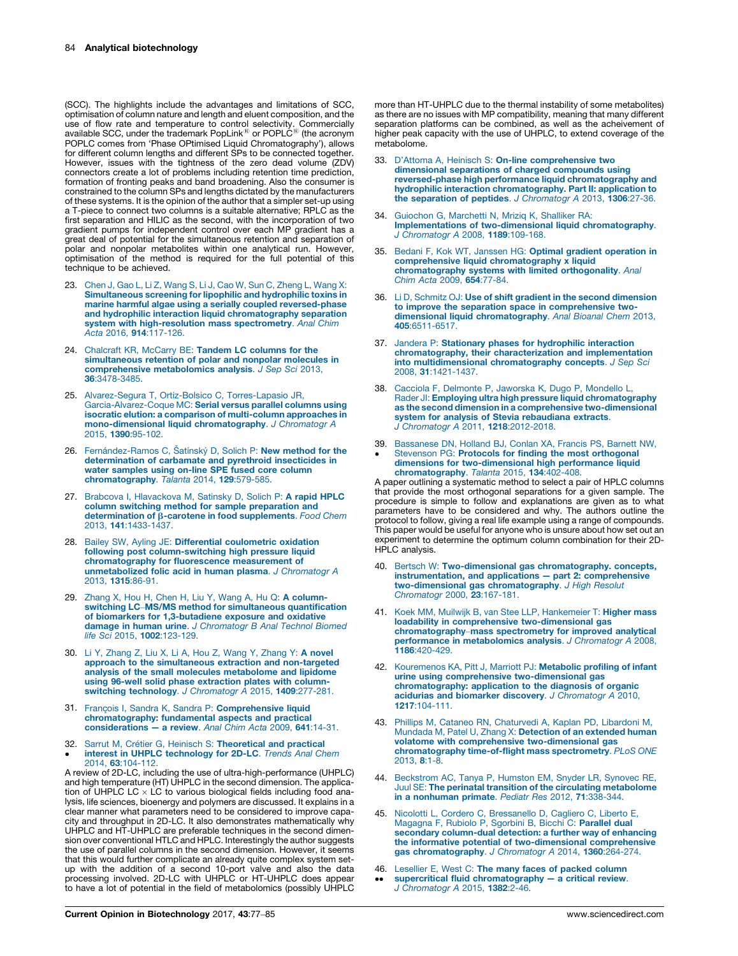<span id="page-7-0"></span>(SCC). The highlights include the advantages and limitations of SCC, optimisation of column nature and length and eluent composition, and the use of flow rate and temperature to control selectivity. Commercially<br>available SCC, under the trademark PopLink® or POPLC® (the acronym<br>POPLC comes from 'Phase OPtimised Liquid Chromatography'), allows for different column lengths and different SPs to be connected together. However, issues with the tightness of the zero dead volume (ZDV) connectors create a lot of problems including retention time prediction, formation of fronting peaks and band broadening. Also the consumer is constrained to the column SPs and lengths dictated by the manufacturers of these systems. It is the opinion of the author that a simpler set-up using a T-piece to connect two columns is a suitable alternative; RPLC as the first separation and HILIC as the second, with the incorporation of two gradient pumps for independent control over each MP gradient has a great deal of potential for the simultaneous retention and separation of polar and nonpolar metabolites within one analytical run. However, optimisation of the method is required for the full potential of this technique to be achieved.

- 23. Chen J, Gao L, Li Z, Wang S, Li J, Cao W, Sun C, [Zheng](http://refhub.elsevier.com/S0958-1669(16)30192-6/sbref0390) L, Wang X: [Simultaneous](http://refhub.elsevier.com/S0958-1669(16)30192-6/sbref0390) screening for lipophilic and hydrophilic toxins in marine harmful algae using a serially coupled [reversed-phase](http://refhub.elsevier.com/S0958-1669(16)30192-6/sbref0390) and hydrophilic interaction liquid [chromatography](http://refhub.elsevier.com/S0958-1669(16)30192-6/sbref0390) separation system with [high-resolution](http://refhub.elsevier.com/S0958-1669(16)30192-6/sbref0390) mass spectrometry. Anal Chim Acta 2016, 914[:117-126.](http://refhub.elsevier.com/S0958-1669(16)30192-6/sbref0390)
- 24. Chalcraft KR, McCarry BE: Tandem LC [columns](http://refhub.elsevier.com/S0958-1669(16)30192-6/sbref0395) for the [simultaneous](http://refhub.elsevier.com/S0958-1669(16)30192-6/sbref0395) retention of polar and nonpolar molecules in [comprehensive](http://refhub.elsevier.com/S0958-1669(16)30192-6/sbref0395) metabolomics analysis. J Sep Sci 2013, 36[:3478-3485.](http://refhub.elsevier.com/S0958-1669(16)30192-6/sbref0395)
- 25. [Alvarez-Segura](http://refhub.elsevier.com/S0958-1669(16)30192-6/sbref0400) T, Ortiz-Bolsico C, Torres-Lapasio JR, [Garcia-Alvarez-Coque](http://refhub.elsevier.com/S0958-1669(16)30192-6/sbref0400) MC: Serial versus parallel columns using isocratic elution: a comparison of [multi-column](http://refhub.elsevier.com/S0958-1669(16)30192-6/sbref0400) approaches in [mono-dimensional](http://refhub.elsevier.com/S0958-1669(16)30192-6/sbref0400) liquid chromatography. J Chromatogr A 2015, 1390[:95-102.](http://refhub.elsevier.com/S0958-1669(16)30192-6/sbref0400)
- 26. Ferná[ndez-Ramos](http://refhub.elsevier.com/S0958-1669(16)30192-6/sbref0405) C, Šatínský D, Solich P: New method for the [determination](http://refhub.elsevier.com/S0958-1669(16)30192-6/sbref0405) of carbamate and pyrethroid insecticides in water [samples](http://refhub.elsevier.com/S0958-1669(16)30192-6/sbref0405) using on-line SPE fused core column [chromatography](http://refhub.elsevier.com/S0958-1669(16)30192-6/sbref0405). Talanta 2014, 129:579-585.
- 27. Brabcova I, [Hlavackova](http://refhub.elsevier.com/S0958-1669(16)30192-6/sbref0410) M, Satinsky D, Solich P: A rapid HPLC column switching method for sample [preparation](http://refhub.elsevier.com/S0958-1669(16)30192-6/sbref0410) and [determination](http://refhub.elsevier.com/S0958-1669(16)30192-6/sbref0410) of  $\beta$ -carotene in food supplements. Food Chem 2013, 141[:1433-1437.](http://refhub.elsevier.com/S0958-1669(16)30192-6/sbref0410)
- 28. Bailey SW, Ayling JE: Differential [coulometric](http://refhub.elsevier.com/S0958-1669(16)30192-6/sbref0415) oxidation following post [column-switching](http://refhub.elsevier.com/S0958-1669(16)30192-6/sbref0415) high pressure liquid [chromatography](http://refhub.elsevier.com/S0958-1669(16)30192-6/sbref0415) for fluorescence measurement of [unmetabolized](http://refhub.elsevier.com/S0958-1669(16)30192-6/sbref0415) folic acid in human plasma. J Chromatogr A 2013, 1315[:86-91.](http://refhub.elsevier.com/S0958-1669(16)30192-6/sbref0415)
- 29. Zhang X, Hou H, Chen H, Liu Y, Wang A, Hu Q: A [column](http://refhub.elsevier.com/S0958-1669(16)30192-6/sbref0420)switching LC–MS/MS method for simultaneous [quantification](http://refhub.elsevier.com/S0958-1669(16)30192-6/sbref0420) of biomarkers for [1,3-butadiene](http://refhub.elsevier.com/S0958-1669(16)30192-6/sbref0420) exposure and oxidative damage in human urine. J [Chromatogr](http://refhub.elsevier.com/S0958-1669(16)30192-6/sbref0420) B Anal Technol Biomed life Sci 2015, 1002[:123-129.](http://refhub.elsevier.com/S0958-1669(16)30192-6/sbref0420)
- 30. Li Y, [Zhang](http://refhub.elsevier.com/S0958-1669(16)30192-6/sbref0425) Z, Liu X, Li A, Hou Z, Wang Y, Zhang Y: A novel approach to the [simultaneous](http://refhub.elsevier.com/S0958-1669(16)30192-6/sbref0425) extraction and non-targeted analysis of the small molecules [metabolome](http://refhub.elsevier.com/S0958-1669(16)30192-6/sbref0425) and lipidome using 96-well solid phase [extraction](http://refhub.elsevier.com/S0958-1669(16)30192-6/sbref0425) plates with column-switching technology. J [Chromatogr](http://refhub.elsevier.com/S0958-1669(16)30192-6/sbref0425) A 2015, 1409:277-281.
- 31. François I, Sandra K, Sandra P: [Comprehensive](http://refhub.elsevier.com/S0958-1669(16)30192-6/sbref0430) liquid [chromatography:](http://refhub.elsevier.com/S0958-1669(16)30192-6/sbref0430) fundamental aspects and practical [considerations](http://refhub.elsevier.com/S0958-1669(16)30192-6/sbref0430) — a review. Anal Chim Acta 2009, 641:14-31.
- 32. Sarrut M, Crétier G, Heinisch S: [Theoretical](http://refhub.elsevier.com/S0958-1669(16)30192-6/sbref0435) and practical  $\bullet$ interest in UHPLC [technology](http://refhub.elsevier.com/S0958-1669(16)30192-6/sbref0435) for 2D-LC. Trends Anal Chem 2014, 63[:104-112.](http://refhub.elsevier.com/S0958-1669(16)30192-6/sbref0435)

A review of 2D-LC, including the use of ultra-high-performance (UHPLC) and high temperature (HT) UHPLC in the second dimension. The application of UHPLC LC  $\times$  LC to various biological fields including food analysis, life sciences, bioenergy and polymers are discussed. It explains in a clear manner what parameters need to be considered to improve capacity and throughput in 2D-LC. It also demonstrates mathematically why UHPLC and HT-UHPLC are preferable techniques in the second dimension over conventional HTLC and HPLC. Interestingly the author suggests the use of parallel columns in the second dimension. However, it seems that this would further complicate an already quite complex system setup with the addition of a second 10-port valve and also the data processing involved. 2D-LC with UHPLC or HT-UHPLC does appear to have a lot of potential in the field of metabolomics (possibly UHPLC more than HT-UHPLC due to the thermal instability of some metabolites) as there are no issues with MP compatibility, meaning that many different separation platforms can be combined, as well as the acheivement of higher peak capacity with the use of UHPLC, to extend coverage of the metabolome.

- 33. D'Attoma A, Heinisch S: On-line [comprehensive](http://refhub.elsevier.com/S0958-1669(16)30192-6/sbref0440) two [dimensional](http://refhub.elsevier.com/S0958-1669(16)30192-6/sbref0440) separations of charged compounds using reversed-phase high performance liquid [chromatography](http://refhub.elsevier.com/S0958-1669(16)30192-6/sbref0440) and hydrophilic interaction [chromatography.](http://refhub.elsevier.com/S0958-1669(16)30192-6/sbref0440) Part II: application to the separation of peptides. J [Chromatogr](http://refhub.elsevier.com/S0958-1669(16)30192-6/sbref0440) A 2013, 1306:27-36.
- 34. [Guiochon](http://refhub.elsevier.com/S0958-1669(16)30192-6/sbref0445) G, Marchetti N, Mriziq K, Shalliker RA: Implementations of [two-dimensional](http://refhub.elsevier.com/S0958-1669(16)30192-6/sbref0445) liquid chromatography. J [Chromatogr](http://refhub.elsevier.com/S0958-1669(16)30192-6/sbref0445) A 2008, 1189:109-168.
- 35. Bedani F, Kok WT, Janssen HG: Optimal gradient [operation](http://refhub.elsevier.com/S0958-1669(16)30192-6/sbref0450) in comprehensive liquid [chromatography](http://refhub.elsevier.com/S0958-1669(16)30192-6/sbref0450) x liquid [chromatography](http://refhub.elsevier.com/S0958-1669(16)30192-6/sbref0450) systems with limited orthogonality. Anal Chim Acta 2009, 654[:77-84.](http://refhub.elsevier.com/S0958-1669(16)30192-6/sbref0450)
- 36. Li D, Schmitz OJ: Use of shift gradient in the second [dimension](http://refhub.elsevier.com/S0958-1669(16)30192-6/sbref0455) to improve the separation space in [comprehensive](http://refhub.elsevier.com/S0958-1669(16)30192-6/sbref0455) twodimensional liquid [chromatography](http://refhub.elsevier.com/S0958-1669(16)30192-6/sbref0455). Anal Bioanal Chem 2013, 405[:6511-6517.](http://refhub.elsevier.com/S0958-1669(16)30192-6/sbref0455)
- 37. Jandera P: Stationary phases for [hydrophilic](http://refhub.elsevier.com/S0958-1669(16)30192-6/sbref0460) interaction [chromatography,](http://refhub.elsevier.com/S0958-1669(16)30192-6/sbref0460) their characterization and implementation into [multidimensional](http://refhub.elsevier.com/S0958-1669(16)30192-6/sbref0460) chromatography concepts. J Sep Sci 2008, 31[:1421-1437.](http://refhub.elsevier.com/S0958-1669(16)30192-6/sbref0460)
- 38. Cacciola F, [Delmonte](http://refhub.elsevier.com/S0958-1669(16)30192-6/sbref0465) P, Jaworska K, Dugo P, Mondello L, Rader JI: Employing ultra high pressure liquid [chromatography](http://refhub.elsevier.com/S0958-1669(16)30192-6/sbref0465) as the second dimension in a comprehensive [two-dimensional](http://refhub.elsevier.com/S0958-1669(16)30192-6/sbref0465) system for analysis of Stevia [rebaudiana](http://refhub.elsevier.com/S0958-1669(16)30192-6/sbref0465) extracts. J Chromatogr A 2011, 1218[:2012-2018.](http://refhub.elsevier.com/S0958-1669(16)30192-6/sbref0465)
- 39. [Bassanese](http://refhub.elsevier.com/S0958-1669(16)30192-6/sbref0470) DN, Holland BJ, Conlan XA, Francis PS, Barnett NW, -Stevenson PG: Protocols for finding the most [orthogonal](http://refhub.elsevier.com/S0958-1669(16)30192-6/sbref0470) dimensions for [two-dimensional](http://refhub.elsevier.com/S0958-1669(16)30192-6/sbref0470) high performance liquid [chromatography](http://refhub.elsevier.com/S0958-1669(16)30192-6/sbref0470). Talanta 2015, 134:402-408.

A paper outlining a systematic method to select a pair of HPLC columns that provide the most orthogonal separations for a given sample. The procedure is simple to follow and explanations are given as to what parameters have to be considered and why. The authors outline the protocol to follow, giving a real life example using a range of compounds. This paper would be useful for anyone who is unsure about how set out an experiment to determine the optimum column combination for their 2D-HPLC analysis.

- Bertsch W: [Two-dimensional](http://refhub.elsevier.com/S0958-1669(16)30192-6/sbref0475) gas chromatography. concepts, [instrumentation,](http://refhub.elsevier.com/S0958-1669(16)30192-6/sbref0475) and applications — part 2: comprehensive two-dimensional gas [chromatography](http://refhub.elsevier.com/S0958-1669(16)30192-6/sbref0475). J High Resolut [Chromatogr](http://refhub.elsevier.com/S0958-1669(16)30192-6/sbref0475) 2000, 23:167-181.
- 41. Koek MM, Muilwijk B, van Stee LLP, [Hankemeier](http://refhub.elsevier.com/S0958-1669(16)30192-6/sbref0480) T: Higher mass loadability in comprehensive [two-dimensional](http://refhub.elsevier.com/S0958-1669(16)30192-6/sbref0480) gas [chromatography](http://refhub.elsevier.com/S0958-1669(16)30192-6/sbref0480)–mass spectrometry for improved analytical performance in [metabolomics](http://refhub.elsevier.com/S0958-1669(16)30192-6/sbref0480) analysis. J Chromatogr A 2008, 1186[:420-429.](http://refhub.elsevier.com/S0958-1669(16)30192-6/sbref0480)
- 42. [Kouremenos](http://refhub.elsevier.com/S0958-1669(16)30192-6/sbref0485) KA, Pitt J, Marriott PJ: Metabolic profiling of infant urine using comprehensive [two-dimensional](http://refhub.elsevier.com/S0958-1669(16)30192-6/sbref0485) gas [chromatography:](http://refhub.elsevier.com/S0958-1669(16)30192-6/sbref0485) application to the diagnosis of organic acidurias and biomarker discovery. J [Chromatogr](http://refhub.elsevier.com/S0958-1669(16)30192-6/sbref0485) A 2010, 1217[:104-111.](http://refhub.elsevier.com/S0958-1669(16)30192-6/sbref0485)
- 43. Phillips M, Cataneo RN, [Chaturvedi](http://refhub.elsevier.com/S0958-1669(16)30192-6/sbref0490) A, Kaplan PD, Libardoni M, Mundada M, Patel U, Zhang X: [Detection](http://refhub.elsevier.com/S0958-1669(16)30192-6/sbref0490) of an extended human volatome with comprehensive [two-dimensional](http://refhub.elsevier.com/S0958-1669(16)30192-6/sbref0490) gas [chromatography](http://refhub.elsevier.com/S0958-1669(16)30192-6/sbref0490) time-of-flight mass spectrometry. PLoS ONE [2013,](http://refhub.elsevier.com/S0958-1669(16)30192-6/sbref0490) 8:1-8.
- 44. [Beckstrom](http://refhub.elsevier.com/S0958-1669(16)30192-6/sbref0495) AC, Tanya P, Humston EM, Snyder LR, Synovec RE, Juul SE: The perinatal transition of the circulating [metabolome](http://refhub.elsevier.com/S0958-1669(16)30192-6/sbref0495) in a [nonhuman](http://refhub.elsevier.com/S0958-1669(16)30192-6/sbref0495) primate. Pediatr Res 2012, 71:338-344.
- 45. Nicolotti L, Cordero C, [Bressanello](http://refhub.elsevier.com/S0958-1669(16)30192-6/sbref0500) D, Cagliero C, Liberto E, [Magagna](http://refhub.elsevier.com/S0958-1669(16)30192-6/sbref0500) F, Rubiolo P, Sgorbini B, Bicchi C: Parallel dual secondary [column-dual](http://refhub.elsevier.com/S0958-1669(16)30192-6/sbref0500) detection: a further way of enhancing the informative potential of [two-dimensional](http://refhub.elsevier.com/S0958-1669(16)30192-6/sbref0500) comprehensive<br>gas [chromatography](http://refhub.elsevier.com/S0958-1669(16)30192-6/sbref0500). J Chromatogr A 2014, 1360:264-274.
- 46. [Lesellier](http://refhub.elsevier.com/S0958-1669(16)30192-6/sbref0505) E, West C: The many faces of packed column -supercritical fluid [chromatography](http://refhub.elsevier.com/S0958-1669(16)30192-6/sbref0505) — a critical review. J [Chromatogr](http://refhub.elsevier.com/S0958-1669(16)30192-6/sbref0505) A 2015, 1382:2-46.